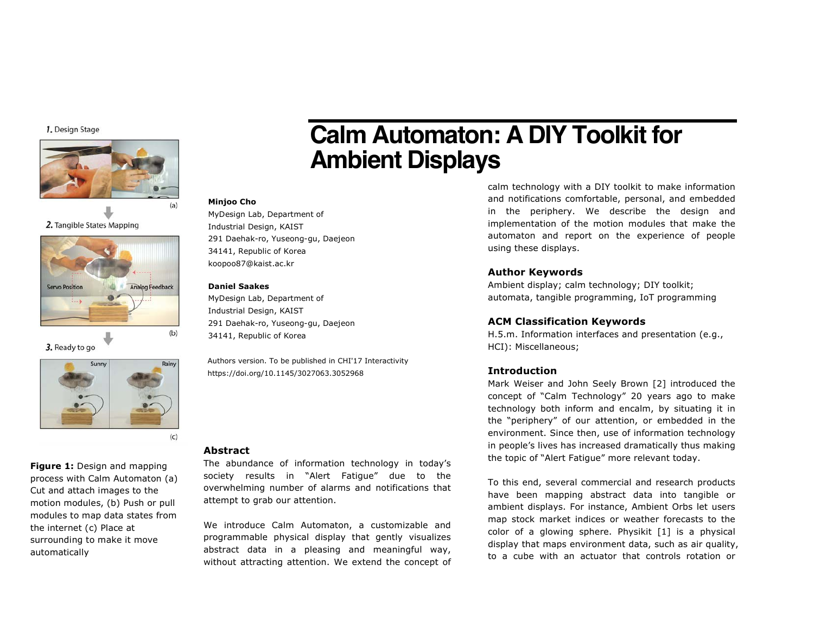1. Design Stage



2. Tangible States Mapping



3. Ready to go



**Figure 1:** Design and mapping process with Calm Automaton (a) Cut and attach images to the motion modules, (b) Push or pull modules to map data states from the internet (c) Place at surrounding to make it move automatically

# **Calm Automaton: A DIY Toolkit for Ambient Displays**

#### **Minjoo Cho**

MyDesign Lab, Department of Industrial Design, KAIST 291 Daehak-ro, Yuseong-gu, Daejeon 34141, Republic of Korea koopoo87@kaist.ac.kr

#### **Daniel Saakes**

MyDesign Lab, Department of Industrial Design, KAIST 291 Daehak-ro, Yuseong-gu, Daejeon 34141, Republic of Korea

Authors version. To be published in CHI'17 Interactivity https://doi.org/10.1145/3027063.3052968

# **Abstract**

The abundance of information technology in today's society results in "Alert Fatigue" due to the overwhelming number of alarms and notifications that attempt to grab our attention.

We introduce Calm Automaton, a customizable and programmable physical display that gently visualizes abstract data in a pleasing and meaningful way, without attracting attention. We extend the concept of

calm technology with a DIY toolkit to make information and notifications comfortable, personal, and embedded in the periphery. We describe the design and implementation of the motion modules that make the automaton and report on the experience of people using these displays.

# **Author Keywords**

Ambient display; calm technology; DIY toolkit; automata, tangible programming, IoT programming

# **ACM Classification Keywords**

H.5.m. Information interfaces and presentation (e.g., HCI): Miscellaneous;

# **Introduction**

Mark Weiser and John Seely Brown [2] introduced the concept of "Calm Technology" 20 years ago to make technology both inform and encalm, by situating it in the "periphery" of our attention, or embedded in the environment. Since then, use of information technology in people's lives has increased dramatically thus making the topic of "Alert Fatigue" more relevant today.

To this end, several commercial and research products have been mapping abstract data into tangible or ambient displays. For instance, Ambient Orbs let users map stock market indices or weather forecasts to the color of a glowing sphere. Physikit [1] is a physical display that maps environment data, such as air quality, to a cube with an actuator that controls rotation or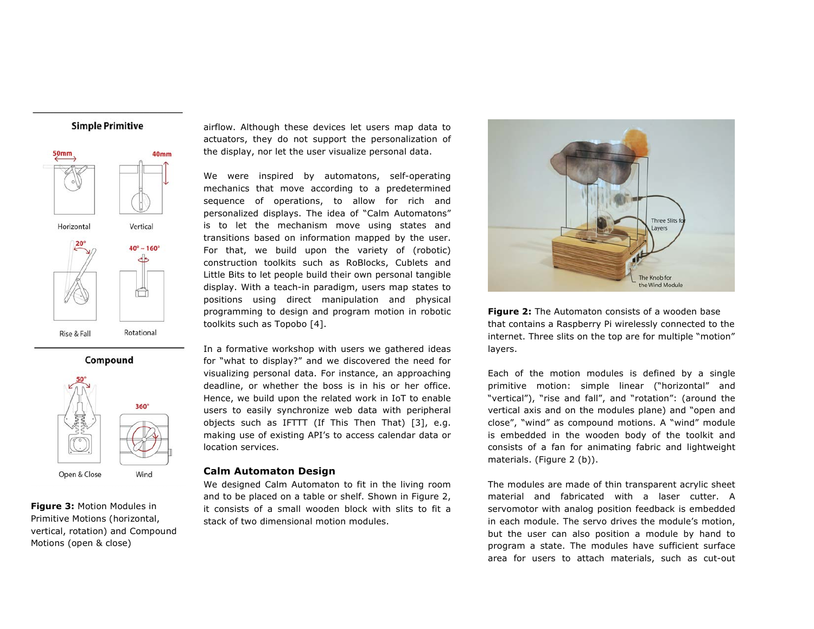





**Figure 3:** Motion Modules in Primitive Motions (horizontal, vertical, rotation) and Compound Motions (open & close)

airflow. Although these devices let users map data to actuators, they do not support the personalization of the display, nor let the user visualize personal data.

We were inspired by automatons, self-operating mechanics that move according to a predetermined sequence of operations, to allow for rich and personalized displays. The idea of "Calm Automatons" is to let the mechanism move using states and transitions based on information mapped by the user. For that, we build upon the variety of (robotic) construction toolkits such as RoBlocks, Cublets and Little Bits to let people build their own personal tangible display. With a teach-in paradigm, users map states to positions using direct manipulation and physical programming to design and program motion in robotic toolkits such as Topobo [4].

In a formative workshop with users we gathered ideas for "what to display?" and we discovered the need for visualizing personal data. For instance, an approaching deadline, or whether the boss is in his or her office. Hence, we build upon the related work in IoT to enable users to easily synchronize web data with peripheral objects such as IFTTT (If This Then That) [3], e.g. making use of existing API's to access calendar data or location services.

## **Calm Automaton Design**

We designed Calm Automaton to fit in the living room and to be placed on a table or shelf. Shown in Figure 2, it consists of a small wooden block with slits to fit a stack of two dimensional motion modules.



**Figure 2:** The Automaton consists of a wooden base that contains a Raspberry Pi wirelessly connected to the internet. Three slits on the top are for multiple "motion" layers.

Each of the motion modules is defined by a single primitive motion: simple linear ("horizontal" and "vertical"), "rise and fall", and "rotation": (around the vertical axis and on the modules plane) and "open and close", "wind" as compound motions. A "wind" module is embedded in the wooden body of the toolkit and consists of a fan for animating fabric and lightweight materials. (Figure 2 (b)).

The modules are made of thin transparent acrylic sheet material and fabricated with a laser cutter. A servomotor with analog position feedback is embedded in each module. The servo drives the module's motion, but the user can also position a module by hand to program a state. The modules have sufficient surface area for users to attach materials, such as cut-out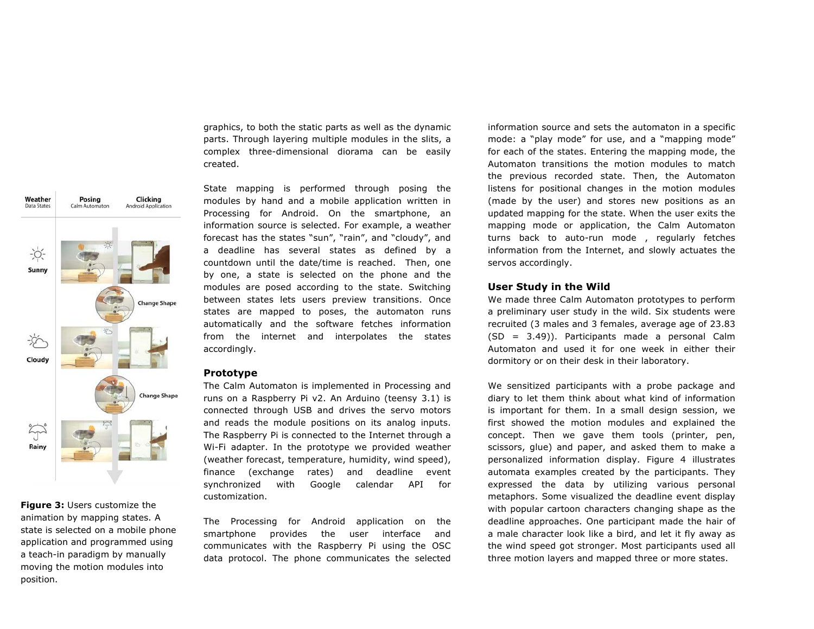graphics, to both the static parts as well as the dynamic parts. Through layering multiple modules in the slits, a complex three-dimensional diorama can be easily created.

Weather Posing Clicking **Data States** Android Application Calm Automator  $\frac{1}{2}$ Sunny **Change Shape** ֍ŕ Cloudy **Change Shape**  $\sum_{i=1}^{n}$ Rainy

**Figure 3:** Users customize the animation by mapping states. A state is selected on a mobile phone application and programmed using a teach-in paradigm by manually moving the motion modules into position.

State mapping is performed through posing the modules by hand and a mobile application written in Processing for Android. On the smartphone, an information source is selected. For example, a weather forecast has the states "sun", "rain", and "cloudy", and a deadline has several states as defined by a countdown until the date/time is reached. Then, one by one, a state is selected on the phone and the modules are posed according to the state. Switching between states lets users preview transitions. Once states are mapped to poses, the automaton runs automatically and the software fetches information from the internet and interpolates the states accordingly.

#### **Prototype**

The Calm Automaton is implemented in Processing and runs on a Raspberry Pi v2. An Arduino (teensy 3.1) is connected through USB and drives the servo motors and reads the module positions on its analog inputs. The Raspberry Pi is connected to the Internet through a Wi-Fi adapter. In the prototype we provided weather (weather forecast, temperature, humidity, wind speed), finance (exchange rates) and deadline event synchronized with Google calendar API for customization.

The Processing for Android application on the smartphone provides the user interface and communicates with the Raspberry Pi using the OSC data protocol. The phone communicates the selected

information source and sets the automaton in a specific mode: a "play mode" for use, and a "mapping mode" for each of the states. Entering the mapping mode, the Automaton transitions the motion modules to match the previous recorded state. Then, the Automaton listens for positional changes in the motion modules (made by the user) and stores new positions as an updated mapping for the state. When the user exits the mapping mode or application, the Calm Automaton turns back to auto-run mode , regularly fetches information from the Internet, and slowly actuates the servos accordingly.

# **User Study in the Wild**

We made three Calm Automaton prototypes to perform a preliminary user study in the wild. Six students were recruited (3 males and 3 females, average age of 23.83 (SD = 3.49)). Participants made a personal Calm Automaton and used it for one week in either their dormitory or on their desk in their laboratory.

We sensitized participants with a probe package and diary to let them think about what kind of information is important for them. In a small design session, we first showed the motion modules and explained the concept. Then we gave them tools (printer, pen, scissors, glue) and paper, and asked them to make a personalized information display. Figure 4 illustrates automata examples created by the participants. They expressed the data by utilizing various personal metaphors. Some visualized the deadline event display with popular cartoon characters changing shape as the deadline approaches. One participant made the hair of a male character look like a bird, and let it fly away as the wind speed got stronger. Most participants used all three motion layers and mapped three or more states.